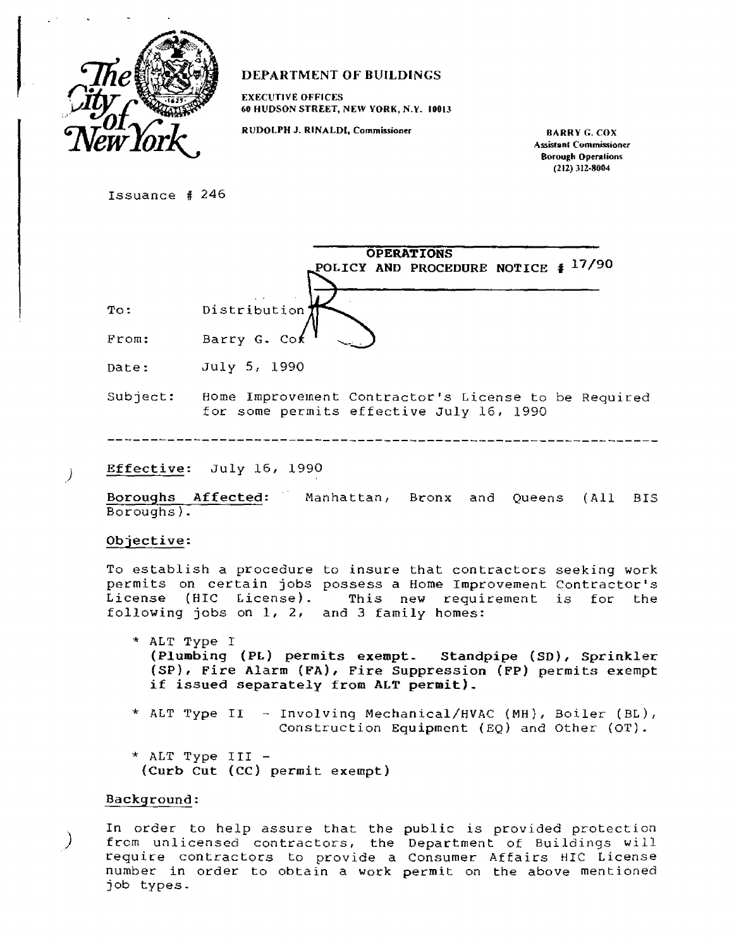

# **DEPARTMENT OF BUILDINGS**

**EXECUTIVE OFFICES 60 HUDSON STREET, NEW YORK, N.Y. 10013** 

RUDOLPH J. RINALDI, Commissioner **BARRY G. COX** 

**Assisran1 Commissioner Borough Operations (212) 312-8004** 

Issuance # 246

|       | <b>OPERATIONS</b>                        |
|-------|------------------------------------------|
|       | POLICY AND PROCEDURE NOTICE $\neq$ 17/90 |
|       |                                          |
| To:   | Distribution <sup>*</sup>                |
| From: | Barry G. Cok                             |

Date: July 5, 1990

Subject: Home Improvement Contractor's License to be Required for some permits effective July 16, 1990

Effective: July 16, 1990

Boroughs Affected: Manhattan, Bronx and Queens (All BIS Boroughs).

## Objective:

-)

To establish a procedure to insure that contractors seeking work permits on certain jobs possess a Home Improvement Contractor's License (HIC License). This new requirement is for the following jobs on 1, 2, and 3 family homes:

\* ALT Type I **(Plumbing (PL) permits exempt- Standpipe (SD), Sprinkler (SP), Fire Alarm (FA). Fire Suppression (FP) permits exempt if issued separately from ALT permit).** 

- \* ALT Type II Involving Mechanical/HVAC (MH), Boiler (BL), Construction Equipment (EQ) and Other  $(OT)$ .
- \* ALT Type III  **(Curb Cut (Cc) permit exempt)**

#### **Background:**

In order to help assure that the public is provided protection from unlicensed contractors, the Department of Buildings will require contractors to provide a Consumer Affairs HIC License number in order to obtain a work permit on the above mentioned job types.